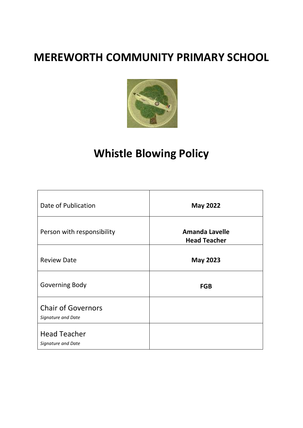## **MEREWORTH COMMUNITY PRIMARY SCHOOL**



# **Whistle Blowing Policy**

| Date of Publication                             | <b>May 2022</b>                              |
|-------------------------------------------------|----------------------------------------------|
| Person with responsibility                      | <b>Amanda Lavelle</b><br><b>Head Teacher</b> |
| <b>Review Date</b>                              | <b>May 2023</b>                              |
| <b>Governing Body</b>                           | <b>FGB</b>                                   |
| <b>Chair of Governors</b><br>Signature and Date |                                              |
| <b>Head Teacher</b><br>Signature and Date       |                                              |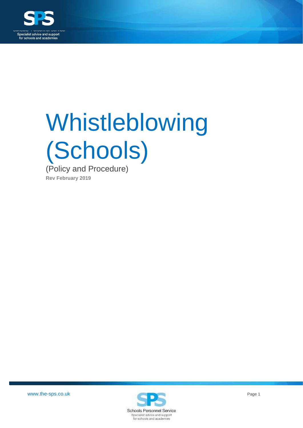

# Whistleblowing (Schools) (Policy and Procedure)

**Rev February 2019**

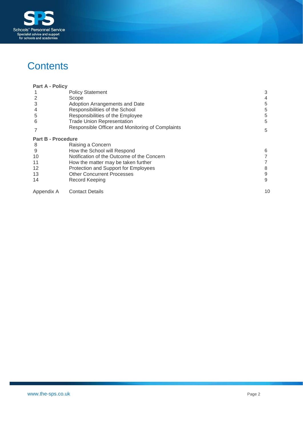

## **Contents**

| <b>Part A - Policy</b>    |                                                  |    |
|---------------------------|--------------------------------------------------|----|
|                           | <b>Policy Statement</b>                          | 3  |
|                           | Scope                                            |    |
| 3                         | Adoption Arrangements and Date                   | 5  |
|                           | Responsibilities of the School                   | 5  |
| 5                         | Responsibilities of the Employee                 | 5  |
| 6                         | <b>Trade Union Representation</b>                | 5  |
|                           | Responsible Officer and Monitoring of Complaints | 5  |
| <b>Part B - Procedure</b> |                                                  |    |
| 8                         | Raising a Concern                                |    |
| 9                         | How the School will Respond                      | 6  |
| 10                        | Notification of the Outcome of the Concern       |    |
| 11                        | How the matter may be taken further              |    |
| 12                        | Protection and Support for Employees             | 8  |
| 13                        | <b>Other Concurrent Processes</b>                | 9  |
| 14                        | Record Keeping                                   | 9  |
| Appendix A                | <b>Contact Details</b>                           | 10 |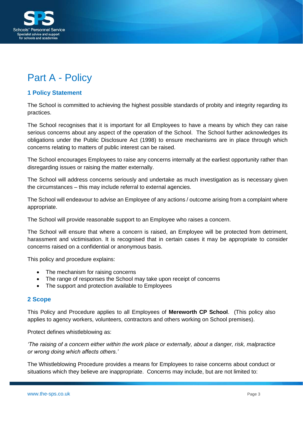

## <span id="page-3-0"></span>Part A - Policy

#### <span id="page-3-1"></span>**1 Policy Statement**

The School is committed to achieving the highest possible standards of probity and integrity regarding its practices.

The School recognises that it is important for all Employees to have a means by which they can raise serious concerns about any aspect of the operation of the School. The School further acknowledges its obligations under the Public Disclosure Act (1998) to ensure mechanisms are in place through which concerns relating to matters of public interest can be raised.

The School encourages Employees to raise any concerns internally at the earliest opportunity rather than disregarding issues or raising the matter externally.

The School will address concerns seriously and undertake as much investigation as is necessary given the circumstances – this may include referral to external agencies.

The School will endeavour to advise an Employee of any actions / outcome arising from a complaint where appropriate.

The School will provide reasonable support to an Employee who raises a concern.

The School will ensure that where a concern is raised, an Employee will be protected from detriment, harassment and victimisation. It is recognised that in certain cases it may be appropriate to consider concerns raised on a confidential or anonymous basis.

This policy and procedure explains:

- The mechanism for raising concerns
- The range of responses the School may take upon receipt of concerns
- The support and protection available to Employees

#### <span id="page-3-2"></span>**2 Scope**

This Policy and Procedure applies to all Employees of **Mereworth CP School**. (This policy also applies to agency workers, volunteers, contractors and others working on School premises).

Protect defines whistleblowing as:

*'The raising of a concern either within the work place or externally, about a danger, risk, malpractice or wrong doing which affects others.'*

The Whistleblowing Procedure provides a means for Employees to raise concerns about conduct or situations which they believe are inappropriate. Concerns may include, but are not limited to: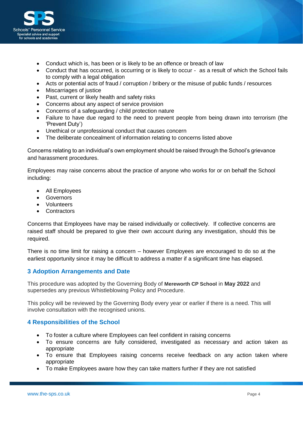

- Conduct which is, has been or is likely to be an offence or breach of law
- Conduct that has occurred, is occurring or is likely to occur as a result of which the School fails to comply with a legal obligation
- Acts or potential acts of fraud / corruption / bribery or the misuse of public funds / resources
- Miscarriages of justice
- Past, current or likely health and safety risks
- Concerns about any aspect of service provision
- Concerns of a safeguarding / child protection nature
- Failure to have due regard to the need to prevent people from being drawn into terrorism (the 'Prevent Duty')
- Unethical or unprofessional conduct that causes concern
- The deliberate concealment of information relating to concerns listed above

Concerns relating to an individual's own employment should be raised through the School's grievance and harassment procedures.

Employees may raise concerns about the practice of anyone who works for or on behalf the School including:

- All Employees
- Governors
- Volunteers
- <span id="page-4-0"></span>• Contractors

Concerns that Employees have may be raised individually or collectively. If collective concerns are raised staff should be prepared to give their own account during any investigation, should this be required.

There is no time limit for raising a concern – however Employees are encouraged to do so at the earliest opportunity since it may be difficult to address a matter if a significant time has elapsed.

#### **3 Adoption Arrangements and Date**

This procedure was adopted by the Governing Body of **Mereworth CP School** in **May 2022** and supersedes any previous Whistleblowing Policy and Procedure.

This policy will be reviewed by the Governing Body every year or earlier if there is a need. This will involve consultation with the recognised unions.

#### <span id="page-4-1"></span>**4 Responsibilities of the School**

- To foster a culture where Employees can feel confident in raising concerns
- To ensure concerns are fully considered, investigated as necessary and action taken as appropriate
- To ensure that Employees raising concerns receive feedback on any action taken where appropriate
- To make Employees aware how they can take matters further if they are not satisfied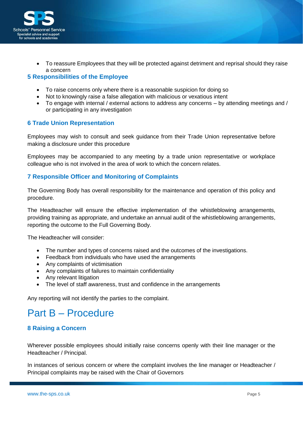

<span id="page-5-0"></span> To reassure Employees that they will be protected against detriment and reprisal should they raise a concern

#### **5 Responsibilities of the Employee**

- To raise concerns only where there is a reasonable suspicion for doing so
- Not to knowingly raise a false allegation with malicious or vexatious intent
- To engage with internal / external actions to address any concerns by attending meetings and / or participating in any investigation

#### <span id="page-5-1"></span>**6 Trade Union Representation**

Employees may wish to consult and seek guidance from their Trade Union representative before making a disclosure under this procedure

Employees may be accompanied to any meeting by a trade union representative or workplace colleague who is not involved in the area of work to which the concern relates.

#### <span id="page-5-2"></span>**7 Responsible Officer and Monitoring of Complaints**

The Governing Body has overall responsibility for the maintenance and operation of this policy and procedure.

The Headteacher will ensure the effective implementation of the whistleblowing arrangements, providing training as appropriate, and undertake an annual audit of the whistleblowing arrangements, reporting the outcome to the Full Governing Body.

The Headteacher will consider:

- The number and types of concerns raised and the outcomes of the investigations.
- Feedback from individuals who have used the arrangements
- Any complaints of victimisation
- Any complaints of failures to maintain confidentiality
- Any relevant litigation
- The level of staff awareness, trust and confidence in the arrangements

Any reporting will not identify the parties to the complaint.

### Part B – Procedure

#### **8 Raising a Concern**

Wherever possible employees should initially raise concerns openly with their line manager or the Headteacher / Principal.

In instances of serious concern or where the complaint involves the line manager or Headteacher / Principal complaints may be raised with the Chair of Governors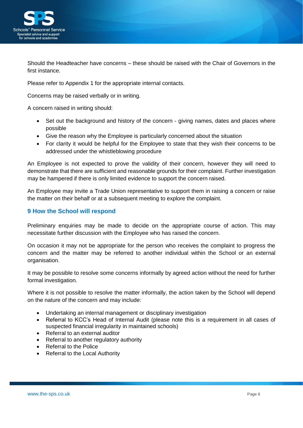

Should the Headteacher have concerns – these should be raised with the Chair of Governors in the first instance.

Please refer to Appendix 1 for the appropriate internal contacts.

Concerns may be raised verbally or in writing.

A concern raised in writing should:

- Set out the background and history of the concern giving names, dates and places where possible
- Give the reason why the Employee is particularly concerned about the situation
- For clarity it would be helpful for the Employee to state that they wish their concerns to be addressed under the whistleblowing procedure

An Employee is not expected to prove the validity of their concern, however they will need to demonstrate that there are sufficient and reasonable grounds for their complaint. Further investigation may be hampered if there is only limited evidence to support the concern raised.

An Employee may invite a Trade Union representative to support them in raising a concern or raise the matter on their behalf or at a subsequent meeting to explore the complaint.

#### <span id="page-6-0"></span>**9 How the School will respond**

Preliminary enquiries may be made to decide on the appropriate course of action. This may necessitate further discussion with the Employee who has raised the concern.

On occasion it may not be appropriate for the person who receives the complaint to progress the concern and the matter may be referred to another individual within the School or an external organisation.

It may be possible to resolve some concerns informally by agreed action without the need for further formal investigation.

Where it is not possible to resolve the matter informally, the action taken by the School will depend on the nature of the concern and may include:

- Undertaking an internal management or disciplinary investigation
- Referral to KCC's Head of Internal Audit (please note this is a requirement in all cases of suspected financial irregularity in maintained schools)
- Referral to an external auditor
- Referral to another regulatory authority
- Referral to the Police
- Referral to the Local Authority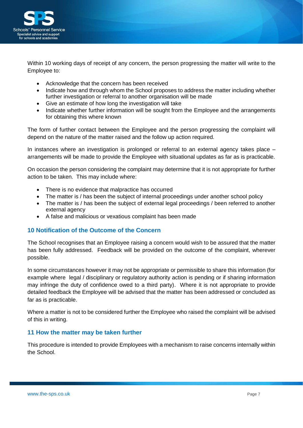

Within 10 working days of receipt of any concern, the person progressing the matter will write to the Employee to:

- Acknowledge that the concern has been received
- Indicate how and through whom the School proposes to address the matter including whether further investigation or referral to another organisation will be made
- Give an estimate of how long the investigation will take
- Indicate whether further information will be sought from the Employee and the arrangements for obtaining this where known

The form of further contact between the Employee and the person progressing the complaint will depend on the nature of the matter raised and the follow up action required.

In instances where an investigation is prolonged or referral to an external agency takes place – arrangements will be made to provide the Employee with situational updates as far as is practicable.

On occasion the person considering the complaint may determine that it is not appropriate for further action to be taken. This may include where:

- There is no evidence that malpractice has occurred
- The matter is / has been the subject of internal proceedings under another school policy
- The matter is / has been the subject of external legal proceedings / been referred to another external agency
- A false and malicious or vexatious complaint has been made

#### <span id="page-7-0"></span>**10 Notification of the Outcome of the Concern**

The School recognises that an Employee raising a concern would wish to be assured that the matter has been fully addressed. Feedback will be provided on the outcome of the complaint, wherever possible.

In some circumstances however it may not be appropriate or permissible to share this information (for example where legal / disciplinary or regulatory authority action is pending or if sharing information may infringe the duty of confidence owed to a third party). Where it is not appropriate to provide detailed feedback the Employee will be advised that the matter has been addressed or concluded as far as is practicable.

Where a matter is not to be considered further the Employee who raised the complaint will be advised of this in writing.

#### <span id="page-7-1"></span>**11 How the matter may be taken further**

This procedure is intended to provide Employees with a mechanism to raise concerns internally within the School.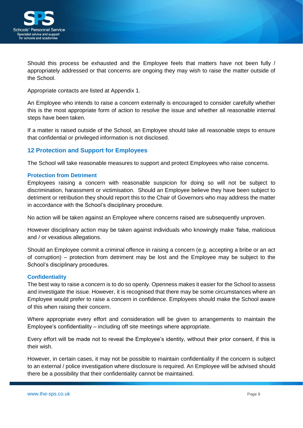

Should this process be exhausted and the Employee feels that matters have not been fully / appropriately addressed or that concerns are ongoing they may wish to raise the matter outside of the School.

Appropriate contacts are listed at Appendix 1.

An Employee who intends to raise a concern externally is encouraged to consider carefully whether this is the most appropriate form of action to resolve the issue and whether all reasonable internal steps have been taken.

If a matter is raised outside of the School, an Employee should take all reasonable steps to ensure that confidential or privileged information is not disclosed.

#### <span id="page-8-0"></span>**12 Protection and Support for Employees**

The School will take reasonable measures to support and protect Employees who raise concerns.

#### **Protection from Detriment**

Employees raising a concern with reasonable suspicion for doing so will not be subject to discrimination, harassment or victimisation. Should an Employee believe they have been subject to detriment or retribution they should report this to the Chair of Governors who may address the matter in accordance with the School's disciplinary procedure.

No action will be taken against an Employee where concerns raised are subsequently unproven.

However disciplinary action may be taken against individuals who knowingly make 'false, malicious and / or vexatious allegations.

Should an Employee commit a criminal offence in raising a concern (e.g. accepting a bribe or an act of corruption) – protection from detriment may be lost and the Employee may be subject to the School's disciplinary procedures.

#### **Confidentiality**

The best way to raise a concern is to do so openly. Openness makes it easier for the School to assess and investigate the issue. However, it is recognised that there may be some circumstances where an Employee would prefer to raise a concern in confidence. Employees should make the School aware of this when raising their concern.

Where appropriate every effort and consideration will be given to arrangements to maintain the Employee's confidentiality – including off site meetings where appropriate.

Every effort will be made not to reveal the Employee's identity, without their prior consent, if this is their wish.

However, in certain cases, it may not be possible to maintain confidentiality if the concern is subject to an external / police investigation where disclosure is required. An Employee will be advised should there be a possibility that their confidentiality cannot be maintained.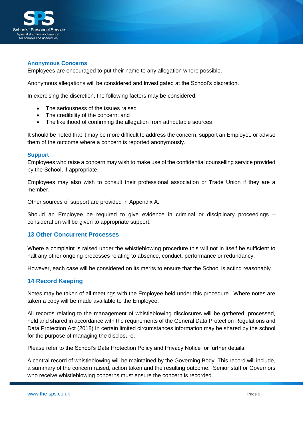

#### **Anonymous Concerns**

Employees are encouraged to put their name to any allegation where possible.

Anonymous allegations will be considered and investigated at the School's discretion.

In exercising the discretion, the following factors may be considered:

- The seriousness of the issues raised
- The credibility of the concern; and
- The likelihood of confirming the allegation from attributable sources

It should be noted that it may be more difficult to address the concern, support an Employee or advise them of the outcome where a concern is reported anonymously.

#### **Support**

Employees who raise a concern may wish to make use of the confidential counselling service provided by the School, if appropriate.

Employees may also wish to consult their professional association or Trade Union if they are a member.

Other sources of support are provided in Appendix A.

<span id="page-9-0"></span>Should an Employee be required to give evidence in criminal or disciplinary proceedings – consideration will be given to appropriate support.

#### **13 Other Concurrent Processes**

Where a complaint is raised under the whistleblowing procedure this will not in itself be sufficient to halt any other ongoing processes relating to absence, conduct, performance or redundancy.

However, each case will be considered on its merits to ensure that the School is acting reasonably.

#### **14 Record Keeping**

Notes may be taken of all meetings with the Employee held under this procedure. Where notes are taken a copy will be made available to the Employee.

All records relating to the management of whistleblowing disclosures will be gathered, processed, held and shared in accordance with the requirements of the General Data Protection Regulations and Data Protection Act (2018) In certain limited circumstances information may be shared by the school for the purpose of managing the disclosure.

Please refer to the School's Data Protection Policy and Privacy Notice for further details.

A central record of whistleblowing will be maintained by the Governing Body. This record will include, a summary of the concern raised, action taken and the resulting outcome. Senior staff or Governors who receive whistleblowing concerns must ensure the concern is recorded.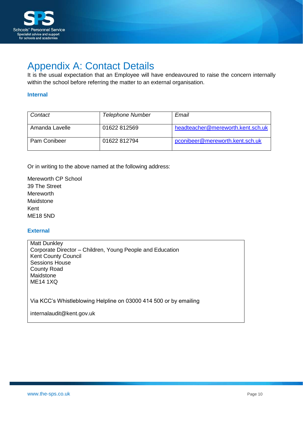

## <span id="page-10-0"></span>Appendix A: Contact Details

It is the usual expectation that an Employee will have endeavoured to raise the concern internally within the school before referring the matter to an external organisation.

#### **Internal**

| Contact        | Telephone Number | Email                             |
|----------------|------------------|-----------------------------------|
| Amanda Lavelle | 01622 812569     | headteacher@mereworth.kent.sch.uk |
| Pam Conibeer   | 01622 812794     | pconibeer@mereworth.kent.sch.uk   |

Or in writing to the above named at the following address:

Mereworth CP School 39 The Street Mereworth Maidstone Kent ME18 5ND

#### **External**

Matt Dunkley Corporate Director – Children, Young People and Education Kent County Council Sessions House County Road Maidstone ME14 1XQ

Via KCC's Whistleblowing Helpline on 03000 414 500 or by emailing

internalaudit@kent.gov.uk